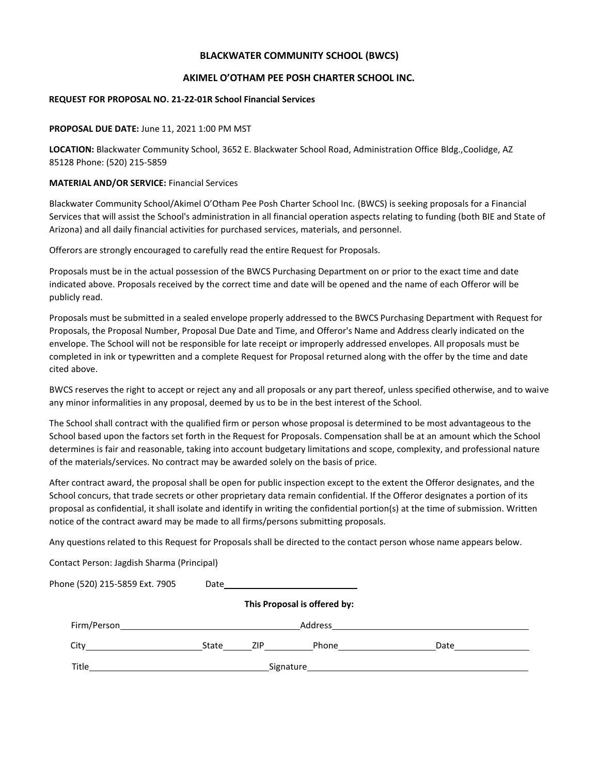#### **BLACKWATER COMMUNITY SCHOOL (BWCS)**

#### **AKIMEL O'OTHAM PEE POSH CHARTER SCHOOL INC.**

#### **REQUEST FOR PROPOSAL NO. 21-22-01R School Financial Services**

#### **PROPOSAL DUE DATE:** June 11, 2021 1:00 PM MST

**LOCATION:** Blackwater Community School, 3652 E. Blackwater School Road, Administration Office Bldg.,Coolidge, AZ 85128 Phone: (520) 215-5859

#### **MATERIAL AND/OR SERVICE:** Financial Services

Blackwater Community School/Akimel O'Otham Pee Posh Charter School Inc. (BWCS) is seeking proposals for a Financial Services that will assist the School's administration in all financial operation aspects relating to funding (both BIE and State of Arizona) and all daily financial activities for purchased services, materials, and personnel.

Offerors are strongly encouraged to carefully read the entire Request for Proposals.

Proposals must be in the actual possession of the BWCS Purchasing Department on or prior to the exact time and date indicated above. Proposals received by the correct time and date will be opened and the name of each Offeror will be publicly read.

Proposals must be submitted in a sealed envelope properly addressed to the BWCS Purchasing Department with Request for Proposals, the Proposal Number, Proposal Due Date and Time, and Offeror's Name and Address clearly indicated on the envelope. The School will not be responsible for late receipt or improperly addressed envelopes. All proposals must be completed in ink or typewritten and a complete Request for Proposal returned along with the offer by the time and date cited above.

BWCS reserves the right to accept or reject any and all proposals or any part thereof, unless specified otherwise, and to waive any minor informalities in any proposal, deemed by us to be in the best interest of the School.

The School shall contract with the qualified firm or person whose proposal is determined to be most advantageous to the School based upon the factors set forth in the Request for Proposals. Compensation shall be at an amount which the School determines is fair and reasonable, taking into account budgetary limitations and scope, complexity, and professional nature of the materials/services. No contract may be awarded solely on the basis of price.

After contract award, the proposal shall be open for public inspection except to the extent the Offeror designates, and the School concurs, that trade secrets or other proprietary data remain confidential. If the Offeror designates a portion of its proposal as confidential, it shall isolate and identify in writing the confidential portion(s) at the time of submission. Written notice of the contract award may be made to all firms/persons submitting proposals.

Any questions related to this Request for Proposals shall be directed to the contact person whose name appears below.

Contact Person: Jagdish Sharma (Principal)

| Phone (520) 215-5859 Ext. 7905                                                                                                                                                                                                 | Date |           |                              |                                                                                                                                                                                                                                |  |
|--------------------------------------------------------------------------------------------------------------------------------------------------------------------------------------------------------------------------------|------|-----------|------------------------------|--------------------------------------------------------------------------------------------------------------------------------------------------------------------------------------------------------------------------------|--|
|                                                                                                                                                                                                                                |      |           | This Proposal is offered by: |                                                                                                                                                                                                                                |  |
| Firm/Person <b>Example 20</b>                                                                                                                                                                                                  |      |           | Address                      |                                                                                                                                                                                                                                |  |
| City in the contract of the contract of the contract of the contract of the contract of the contract of the contract of the contract of the contract of the contract of the contract of the contract of the contract of the co |      | State ZIP | Phone_______________         | Date                                                                                                                                                                                                                           |  |
| Title                                                                                                                                                                                                                          |      |           |                              | Signature that the state of the state of the state of the state of the state of the state of the state of the state of the state of the state of the state of the state of the state of the state of the state of the state of |  |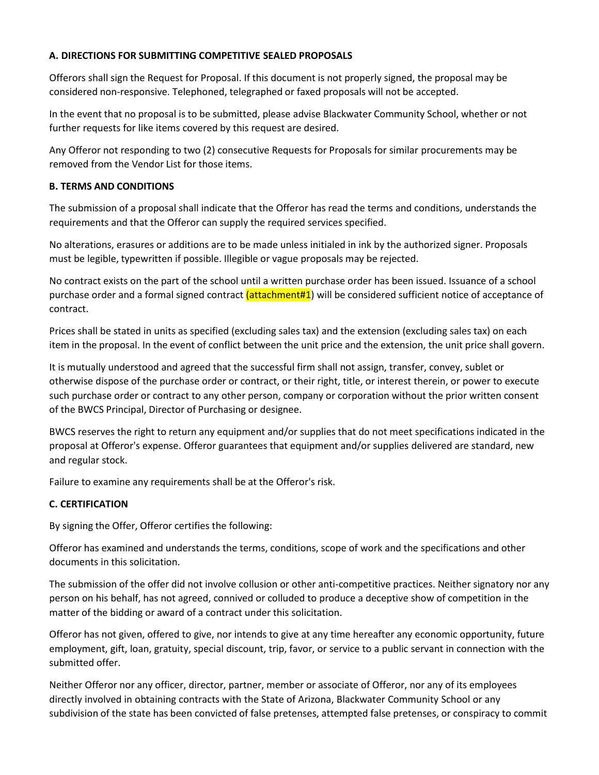## **A. DIRECTIONS FOR SUBMITTING COMPETITIVE SEALED PROPOSALS**

Offerors shall sign the Request for Proposal. If this document is not properly signed, the proposal may be considered non-responsive. Telephoned, telegraphed or faxed proposals will not be accepted.

In the event that no proposal is to be submitted, please advise Blackwater Community School, whether or not further requests for like items covered by this request are desired.

Any Offeror not responding to two (2) consecutive Requests for Proposals for similar procurements may be removed from the Vendor List for those items.

## **B. TERMS AND CONDITIONS**

The submission of a proposal shall indicate that the Offeror has read the terms and conditions, understands the requirements and that the Offeror can supply the required services specified.

No alterations, erasures or additions are to be made unless initialed in ink by the authorized signer. Proposals must be legible, typewritten if possible. Illegible or vague proposals may be rejected.

No contract exists on the part of the school until a written purchase order has been issued. Issuance of a school purchase order and a formal signed contract (attachment#1) will be considered sufficient notice of acceptance of contract.

Prices shall be stated in units as specified (excluding sales tax) and the extension (excluding sales tax) on each item in the proposal. In the event of conflict between the unit price and the extension, the unit price shall govern.

It is mutually understood and agreed that the successful firm shall not assign, transfer, convey, sublet or otherwise dispose of the purchase order or contract, or their right, title, or interest therein, or power to execute such purchase order or contract to any other person, company or corporation without the prior written consent of the BWCS Principal, Director of Purchasing or designee.

BWCS reserves the right to return any equipment and/or supplies that do not meet specifications indicated in the proposal at Offeror's expense. Offeror guarantees that equipment and/or supplies delivered are standard, new and regular stock.

Failure to examine any requirements shall be at the Offeror's risk.

# **C. CERTIFICATION**

By signing the Offer, Offeror certifies the following:

Offeror has examined and understands the terms, conditions, scope of work and the specifications and other documents in this solicitation.

The submission of the offer did not involve collusion or other anti-competitive practices. Neither signatory nor any person on his behalf, has not agreed, connived or colluded to produce a deceptive show of competition in the matter of the bidding or award of a contract under this solicitation.

Offeror has not given, offered to give, nor intends to give at any time hereafter any economic opportunity, future employment, gift, loan, gratuity, special discount, trip, favor, or service to a public servant in connection with the submitted offer.

Neither Offeror nor any officer, director, partner, member or associate of Offeror, nor any of its employees directly involved in obtaining contracts with the State of Arizona, Blackwater Community School or any subdivision of the state has been convicted of false pretenses, attempted false pretenses, or conspiracy to commit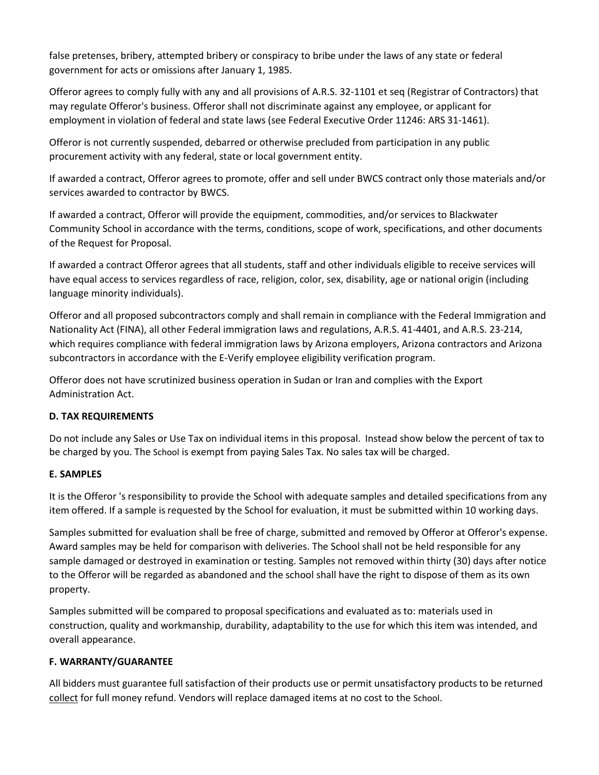false pretenses, bribery, attempted bribery or conspiracy to bribe under the laws of any state or federal government for acts or omissions after January 1, 1985.

Offeror agrees to comply fully with any and all provisions of A.R.S. 32-1101 et seq (Registrar of Contractors) that may regulate Offeror's business. Offeror shall not discriminate against any employee, or applicant for employment in violation of federal and state laws (see Federal Executive Order 11246: ARS 31-1461).

Offeror is not currently suspended, debarred or otherwise precluded from participation in any public procurement activity with any federal, state or local government entity.

If awarded a contract, Offeror agrees to promote, offer and sell under BWCS contract only those materials and/or services awarded to contractor by BWCS.

If awarded a contract, Offeror will provide the equipment, commodities, and/or services to Blackwater Community School in accordance with the terms, conditions, scope of work, specifications, and other documents of the Request for Proposal.

If awarded a contract Offeror agrees that all students, staff and other individuals eligible to receive services will have equal access to services regardless of race, religion, color, sex, disability, age or national origin (including language minority individuals).

Offeror and all proposed subcontractors comply and shall remain in compliance with the Federal Immigration and Nationality Act (FINA), all other Federal immigration laws and regulations, A.R.S. 41-4401, and A.R.S. 23-214, which requires compliance with federal immigration laws by Arizona employers, Arizona contractors and Arizona subcontractors in accordance with the E-Verify employee eligibility verification program.

Offeror does not have scrutinized business operation in Sudan or Iran and complies with the Export Administration Act.

# **D. TAX REQUIREMENTS**

Do not include any Sales or Use Tax on individual items in this proposal. Instead show below the percent of tax to be charged by you. The School is exempt from paying Sales Tax. No sales tax will be charged.

# **E. SAMPLES**

It is the Offeror 's responsibility to provide the School with adequate samples and detailed specifications from any item offered. If a sample is requested by the School for evaluation, it must be submitted within 10 working days.

Samples submitted for evaluation shall be free of charge, submitted and removed by Offeror at Offeror's expense. Award samples may be held for comparison with deliveries. The School shall not be held responsible for any sample damaged or destroyed in examination or testing. Samples not removed within thirty (30) days after notice to the Offeror will be regarded as abandoned and the school shall have the right to dispose of them as its own property.

Samples submitted will be compared to proposal specifications and evaluated as to: materials used in construction, quality and workmanship, durability, adaptability to the use for which this item was intended, and overall appearance.

# **F. WARRANTY/GUARANTEE**

All bidders must guarantee full satisfaction of their products use or permit unsatisfactory products to be returned collect for full money refund. Vendors will replace damaged items at no cost to the School.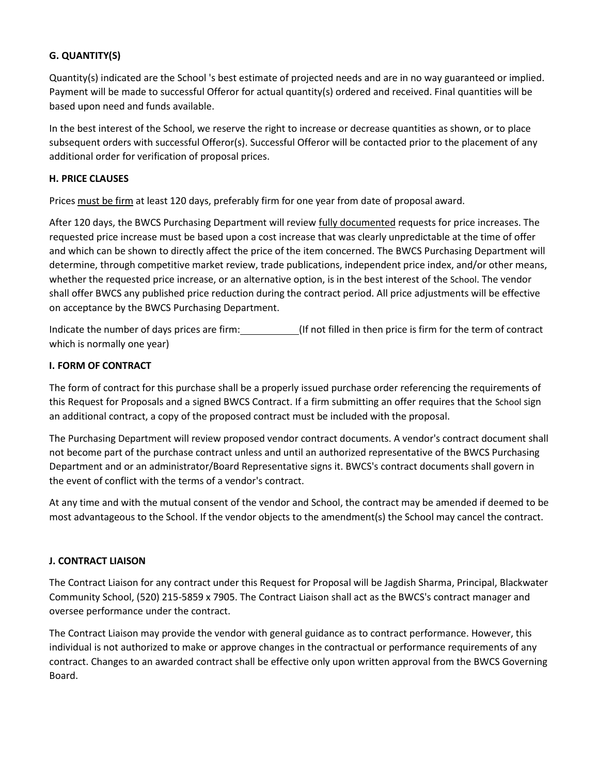## **G. QUANTITY(S)**

Quantity(s) indicated are the School 's best estimate of projected needs and are in no way guaranteed or implied. Payment will be made to successful Offeror for actual quantity(s) ordered and received. Final quantities will be based upon need and funds available.

In the best interest of the School, we reserve the right to increase or decrease quantities as shown, or to place subsequent orders with successful Offeror(s). Successful Offeror will be contacted prior to the placement of any additional order for verification of proposal prices.

#### **H. PRICE CLAUSES**

Prices must be firm at least 120 days, preferably firm for one year from date of proposal award.

After 120 days, the BWCS Purchasing Department will review fully documented requests for price increases. The requested price increase must be based upon a cost increase that was clearly unpredictable at the time of offer and which can be shown to directly affect the price of the item concerned. The BWCS Purchasing Department will determine, through competitive market review, trade publications, independent price index, and/or other means, whether the requested price increase, or an alternative option, is in the best interest of the School. The vendor shall offer BWCS any published price reduction during the contract period. All price adjustments will be effective on acceptance by the BWCS Purchasing Department.

Indicate the number of days prices are firm: (If not filled in then price is firm for the term of contract which is normally one year)

## **I. FORM OF CONTRACT**

The form of contract for this purchase shall be a properly issued purchase order referencing the requirements of this Request for Proposals and a signed BWCS Contract. If a firm submitting an offer requires that the School sign an additional contract, a copy of the proposed contract must be included with the proposal.

The Purchasing Department will review proposed vendor contract documents. A vendor's contract document shall not become part of the purchase contract unless and until an authorized representative of the BWCS Purchasing Department and or an administrator/Board Representative signs it. BWCS's contract documents shall govern in the event of conflict with the terms of a vendor's contract.

At any time and with the mutual consent of the vendor and School, the contract may be amended if deemed to be most advantageous to the School. If the vendor objects to the amendment(s) the School may cancel the contract.

## **J. CONTRACT LIAISON**

The Contract Liaison for any contract under this Request for Proposal will be Jagdish Sharma, Principal, Blackwater Community School, (520) 215-5859 x 7905. The Contract Liaison shall act as the BWCS's contract manager and oversee performance under the contract.

The Contract Liaison may provide the vendor with general guidance as to contract performance. However, this individual is not authorized to make or approve changes in the contractual or performance requirements of any contract. Changes to an awarded contract shall be effective only upon written approval from the BWCS Governing Board.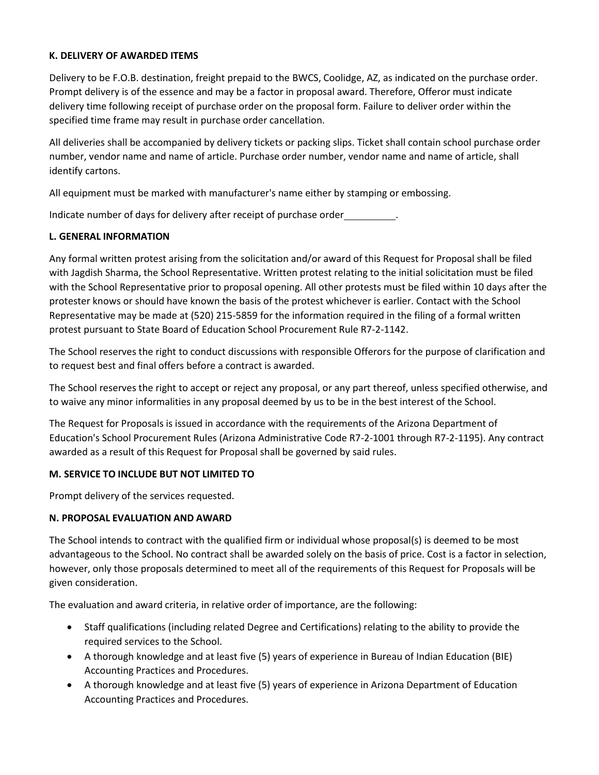## **K. DELIVERY OF AWARDED ITEMS**

Delivery to be F.O.B. destination, freight prepaid to the BWCS, Coolidge, AZ, as indicated on the purchase order. Prompt delivery is of the essence and may be a factor in proposal award. Therefore, Offeror must indicate delivery time following receipt of purchase order on the proposal form. Failure to deliver order within the specified time frame may result in purchase order cancellation.

All deliveries shall be accompanied by delivery tickets or packing slips. Ticket shall contain school purchase order number, vendor name and name of article. Purchase order number, vendor name and name of article, shall identify cartons.

All equipment must be marked with manufacturer's name either by stamping or embossing.

Indicate number of days for delivery after receipt of purchase order .

#### **L. GENERAL INFORMATION**

Any formal written protest arising from the solicitation and/or award of this Request for Proposal shall be filed with Jagdish Sharma, the School Representative. Written protest relating to the initial solicitation must be filed with the School Representative prior to proposal opening. All other protests must be filed within 10 days after the protester knows or should have known the basis of the protest whichever is earlier. Contact with the School Representative may be made at (520) 215-5859 for the information required in the filing of a formal written protest pursuant to State Board of Education School Procurement Rule R7-2-1142.

The School reserves the right to conduct discussions with responsible Offerors for the purpose of clarification and to request best and final offers before a contract is awarded.

The School reserves the right to accept or reject any proposal, or any part thereof, unless specified otherwise, and to waive any minor informalities in any proposal deemed by us to be in the best interest of the School.

The Request for Proposals is issued in accordance with the requirements of the Arizona Department of Education's School Procurement Rules (Arizona Administrative Code R7-2-1001 through R7-2-1195). Any contract awarded as a result of this Request for Proposal shall be governed by said rules.

## **M. SERVICE TO INCLUDE BUT NOT LIMITED TO**

Prompt delivery of the services requested.

## **N. PROPOSAL EVALUATION AND AWARD**

The School intends to contract with the qualified firm or individual whose proposal(s) is deemed to be most advantageous to the School. No contract shall be awarded solely on the basis of price. Cost is a factor in selection, however, only those proposals determined to meet all of the requirements of this Request for Proposals will be given consideration.

The evaluation and award criteria, in relative order of importance, are the following:

- Staff qualifications (including related Degree and Certifications) relating to the ability to provide the required services to the School.
- A thorough knowledge and at least five (5) years of experience in Bureau of Indian Education (BIE) Accounting Practices and Procedures.
- A thorough knowledge and at least five (5) years of experience in Arizona Department of Education Accounting Practices and Procedures.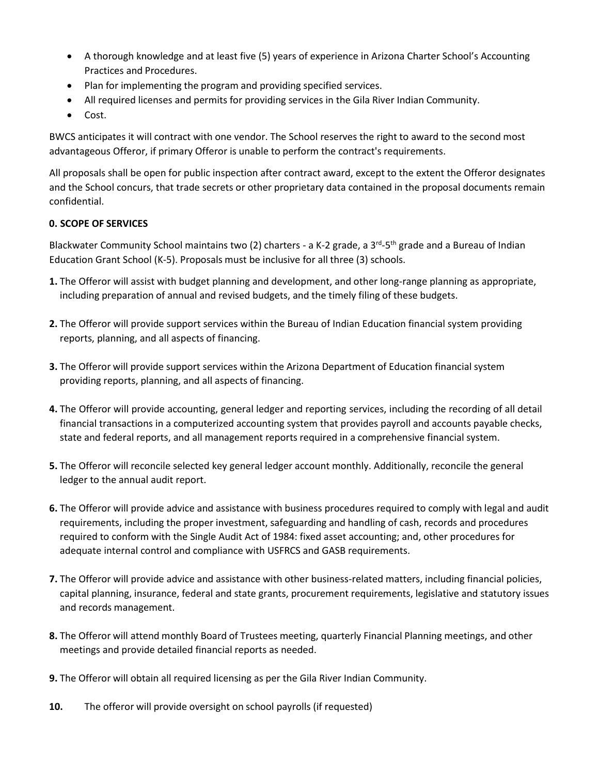- A thorough knowledge and at least five (5) years of experience in Arizona Charter School's Accounting Practices and Procedures.
- Plan for implementing the program and providing specified services.
- All required licenses and permits for providing services in the Gila River Indian Community.
- Cost.

BWCS anticipates it will contract with one vendor. The School reserves the right to award to the second most advantageous Offeror, if primary Offeror is unable to perform the contract's requirements.

All proposals shall be open for public inspection after contract award, except to the extent the Offeror designates and the School concurs, that trade secrets or other proprietary data contained in the proposal documents remain confidential.

# **0. SCOPE OF SERVICES**

Blackwater Community School maintains two (2) charters - a K-2 grade, a 3<sup>rd</sup>-5<sup>th</sup> grade and a Bureau of Indian Education Grant School (K-5). Proposals must be inclusive for all three (3) schools.

- **1.** The Offeror will assist with budget planning and development, and other long-range planning as appropriate, including preparation of annual and revised budgets, and the timely filing of these budgets.
- **2.** The Offeror will provide support services within the Bureau of Indian Education financial system providing reports, planning, and all aspects of financing.
- **3.** The Offeror will provide support services within the Arizona Department of Education financial system providing reports, planning, and all aspects of financing.
- **4.** The Offeror will provide accounting, general ledger and reporting services, including the recording of all detail financial transactions in a computerized accounting system that provides payroll and accounts payable checks, state and federal reports, and all management reports required in a comprehensive financial system.
- **5.** The Offeror will reconcile selected key general ledger account monthly. Additionally, reconcile the general ledger to the annual audit report.
- **6.** The Offeror will provide advice and assistance with business procedures required to comply with legal and audit requirements, including the proper investment, safeguarding and handling of cash, records and procedures required to conform with the Single Audit Act of 1984: fixed asset accounting; and, other procedures for adequate internal control and compliance with USFRCS and GASB requirements.
- **7.** The Offeror will provide advice and assistance with other business-related matters, including financial policies, capital planning, insurance, federal and state grants, procurement requirements, legislative and statutory issues and records management.
- **8.** The Offeror will attend monthly Board of Trustees meeting, quarterly Financial Planning meetings, and other meetings and provide detailed financial reports as needed.
- **9.** The Offeror will obtain all required licensing as per the Gila River Indian Community.
- **10.** The offeror will provide oversight on school payrolls (if requested)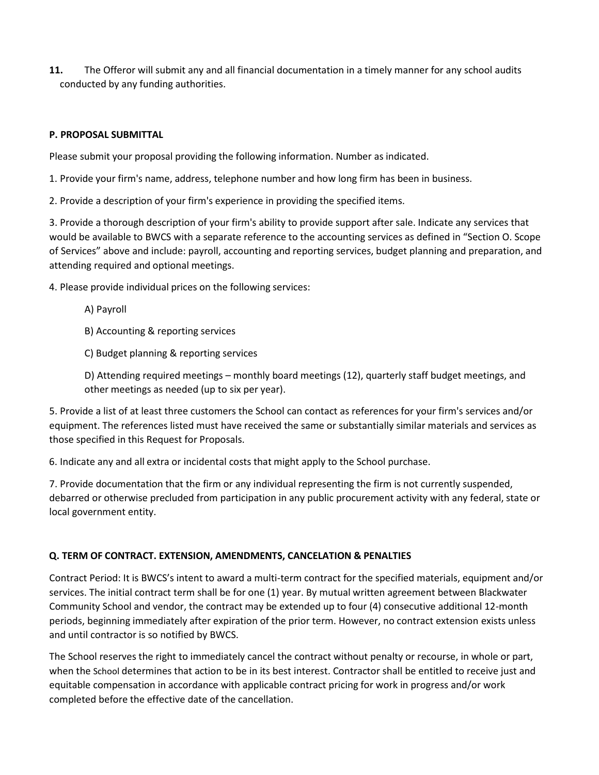**11.** The Offeror will submit any and all financial documentation in a timely manner for any school audits conducted by any funding authorities.

## **P. PROPOSAL SUBMITTAL**

Please submit your proposal providing the following information. Number as indicated.

1. Provide your firm's name, address, telephone number and how long firm has been in business.

2. Provide a description of your firm's experience in providing the specified items.

3. Provide a thorough description of your firm's ability to provide support after sale. Indicate any services that would be available to BWCS with a separate reference to the accounting services as defined in "Section O. Scope of Services" above and include: payroll, accounting and reporting services, budget planning and preparation, and attending required and optional meetings.

4. Please provide individual prices on the following services:

A) Payroll

B) Accounting & reporting services

C) Budget planning & reporting services

D) Attending required meetings – monthly board meetings (12), quarterly staff budget meetings, and other meetings as needed (up to six per year).

5. Provide a list of at least three customers the School can contact as references for your firm's services and/or equipment. The references listed must have received the same or substantially similar materials and services as those specified in this Request for Proposals.

6. Indicate any and all extra or incidental costs that might apply to the School purchase.

7. Provide documentation that the firm or any individual representing the firm is not currently suspended, debarred or otherwise precluded from participation in any public procurement activity with any federal, state or local government entity.

## **Q. TERM OF CONTRACT. EXTENSION, AMENDMENTS, CANCELATION & PENALTIES**

Contract Period: It is BWCS's intent to award a multi-term contract for the specified materials, equipment and/or services. The initial contract term shall be for one (1) year. By mutual written agreement between Blackwater Community School and vendor, the contract may be extended up to four (4) consecutive additional 12-month periods, beginning immediately after expiration of the prior term. However, no contract extension exists unless and until contractor is so notified by BWCS.

The School reserves the right to immediately cancel the contract without penalty or recourse, in whole or part, when the School determines that action to be in its best interest. Contractor shall be entitled to receive just and equitable compensation in accordance with applicable contract pricing for work in progress and/or work completed before the effective date of the cancellation.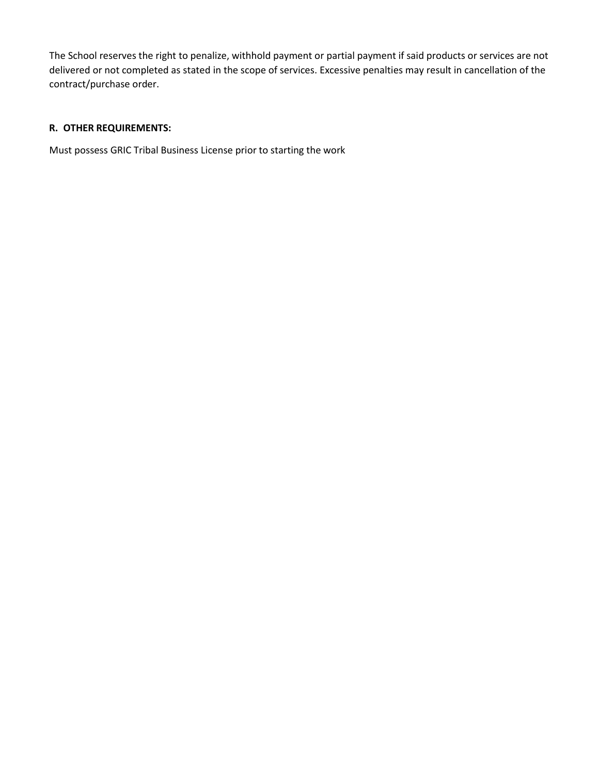The School reserves the right to penalize, withhold payment or partial payment if said products or services are not delivered or not completed as stated in the scope of services. Excessive penalties may result in cancellation of the contract/purchase order.

# **R. OTHER REQUIREMENTS:**

Must possess GRIC Tribal Business License prior to starting the work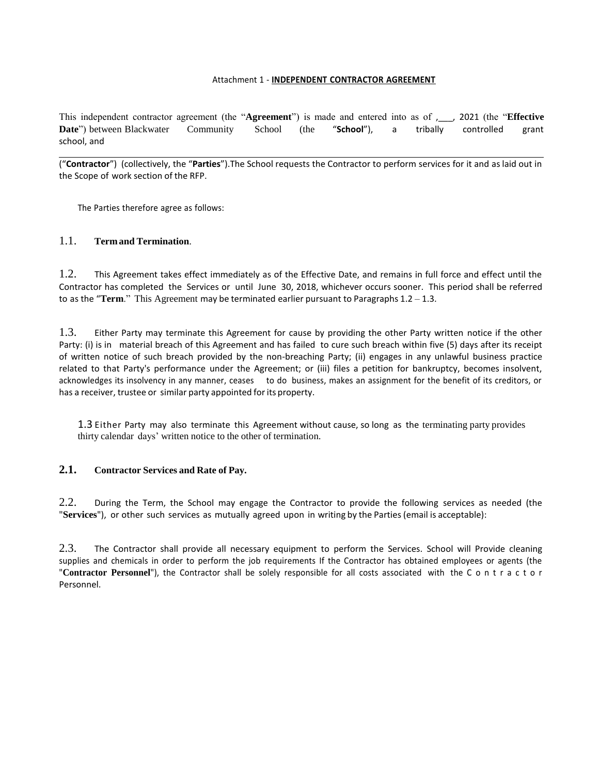#### Attachment 1 - **INDEPENDENT CONTRACTOR AGREEMENT**

This independent contractor agreement (the "**Agreement**") is made and entered into as of ,\_\_\_, 2021 (the "**Effective Date**") between Blackwater Community School (the "**School**"), a tribally controlled grant school, and

("**Contractor**") (collectively, the "**Parties**").The School requests the Contractor to perform services for it and as laid out in the Scope of work section of the RFP.

The Parties therefore agree as follows:

#### 1.1. **Termand Termination**.

1.2. This Agreement takes effect immediately as of the Effective Date, and remains in full force and effect until the Contractor has completed the Services or until June 30, 2018, whichever occurs sooner. This period shall be referred to as the "**Term**." This Agreement may be terminated earlier pursuant to Paragraphs 1.2 – 1.3.

1.3. Either Party may terminate this Agreement for cause by providing the other Party written notice if the other Party: (i) is in material breach of this Agreement and has failed to cure such breach within five (5) days after its receipt of written notice of such breach provided by the non-breaching Party; (ii) engages in any unlawful business practice related to that Party's performance under the Agreement; or (iii) files a petition for bankruptcy, becomes insolvent, acknowledges its insolvency in any manner, ceases to do business, makes an assignment for the benefit of its creditors, or has a receiver, trustee or similar party appointed for its property.

1.3 Either Party may also terminate this Agreement without cause, so long as the terminating party provides thirty calendar days' written notice to the other of termination.

## **2.1. Contractor Services and Rate of Pay.**

2.2. During the Term, the School may engage the Contractor to provide the following services as needed (the "**Services**"), or other such services as mutually agreed upon in writing by the Parties(email is acceptable):

2.3. The Contractor shall provide all necessary equipment to perform the Services. School will Provide cleaning supplies and chemicals in order to perform the job requirements If the Contractor has obtained employees or agents (the "**Contractor Personnel**"), the Contractor shall be solely responsible for all costs associated with the C o n t r a c t o r Personnel.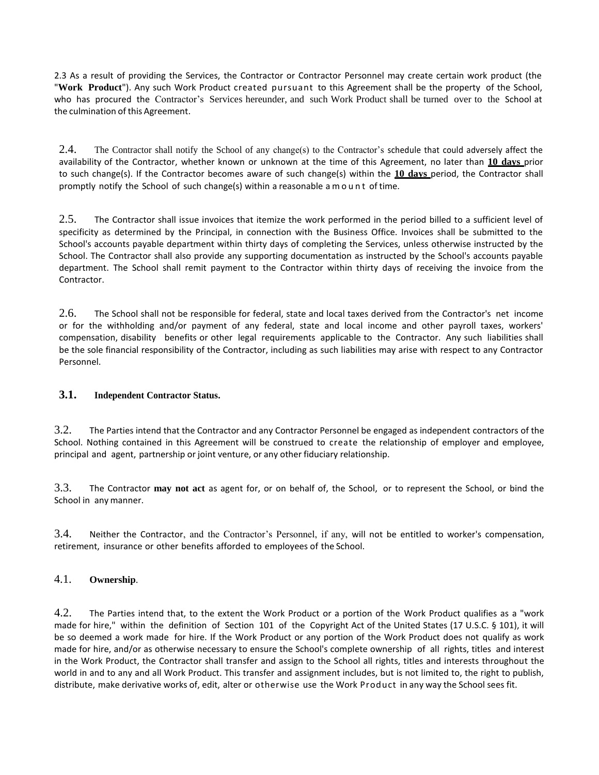2.3 As a result of providing the Services, the Contractor or Contractor Personnel may create certain work product (the "**Work Product**"). Any such Work Product created pursuant to this Agreement shall be the property of the School, who has procured the Contractor's Services hereunder, and such Work Product shall be turned over to the School at the culmination of this Agreement.

2.4. The Contractor shall notify the School of any change(s) to the Contractor's schedule that could adversely affect the availability of the Contractor, whether known or unknown at the time of this Agreement, no later than **10 days** prior to such change(s). If the Contractor becomes aware of such change(s) within the **10 days** period, the Contractor shall promptly notify the School of such change(s) within a reasonable a m o u n t of time.

2.5. The Contractor shall issue invoices that itemize the work performed in the period billed to a sufficient level of specificity as determined by the Principal, in connection with the Business Office. Invoices shall be submitted to the School's accounts payable department within thirty days of completing the Services, unless otherwise instructed by the School. The Contractor shall also provide any supporting documentation as instructed by the School's accounts payable department. The School shall remit payment to the Contractor within thirty days of receiving the invoice from the Contractor.

2.6. The School shall not be responsible for federal, state and local taxes derived from the Contractor's net income or for the withholding and/or payment of any federal, state and local income and other payroll taxes, workers' compensation, disability benefits or other legal requirements applicable to the Contractor. Any such liabilities shall be the sole financial responsibility of the Contractor, including as such liabilities may arise with respect to any Contractor Personnel.

## **3.1. Independent Contractor Status.**

3.2. The Parties intend that the Contractor and any Contractor Personnel be engaged as independent contractors of the School. Nothing contained in this Agreement will be construed to create the relationship of employer and employee, principal and agent, partnership or joint venture, or any other fiduciary relationship.

3.3. The Contractor **may not act** as agent for, or on behalf of, the School, or to represent the School, or bind the School in any manner.

3.4. Neither the Contractor, and the Contractor's Personnel, if any, will not be entitled to worker's compensation, retirement, insurance or other benefits afforded to employees of the School.

#### 4.1. **Ownership**.

4.2. The Parties intend that, to the extent the Work Product or a portion of the Work Product qualifies as a "work made for hire," within the definition of Section 101 of the Copyright Act of the United States (17 U.S.C. § 101), it will be so deemed a work made for hire. If the Work Product or any portion of the Work Product does not qualify as work made for hire, and/or as otherwise necessary to ensure the School's complete ownership of all rights, titles and interest in the Work Product, the Contractor shall transfer and assign to the School all rights, titles and interests throughout the world in and to any and all Work Product. This transfer and assignment includes, but is not limited to, the right to publish, distribute, make derivative works of, edit, alter or otherwise use the Work Product in any way the School sees fit.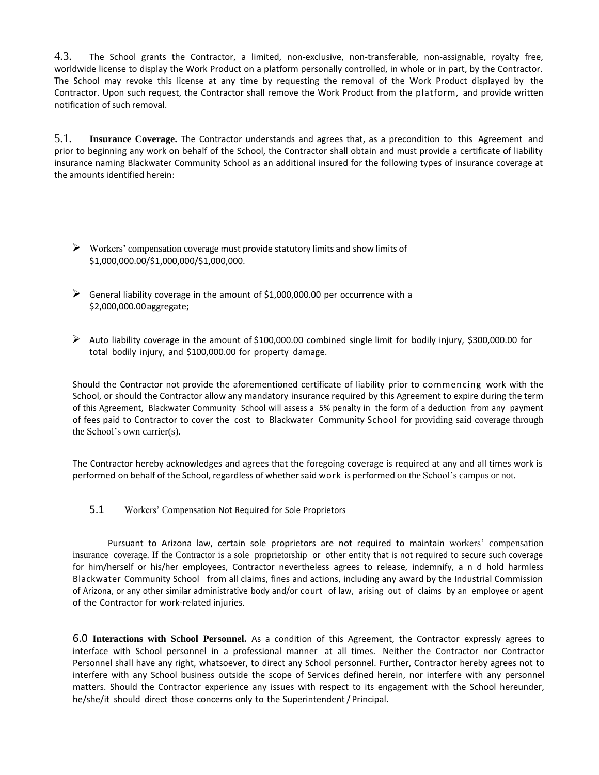4.3. The School grants the Contractor, a limited, non-exclusive, non-transferable, non-assignable, royalty free, worldwide license to display the Work Product on a platform personally controlled, in whole or in part, by the Contractor. The School may revoke this license at any time by requesting the removal of the Work Product displayed by the Contractor. Upon such request, the Contractor shall remove the Work Product from the platform, and provide written notification of such removal.

5.1. **Insurance Coverage.** The Contractor understands and agrees that, as a precondition to this Agreement and prior to beginning any work on behalf of the School, the Contractor shall obtain and must provide a certificate of liability insurance naming Blackwater Community School as an additional insured for the following types of insurance coverage at the amounts identified herein:

- $\triangleright$  Workers' compensation coverage must provide statutory limits and show limits of \$1,000,000.00/\$1,000,000/\$1,000,000.
- $\triangleright$  General liability coverage in the amount of \$1,000,000.00 per occurrence with a \$2,000,000.00aggregate;
- $\triangleright$  Auto liability coverage in the amount of \$100,000.00 combined single limit for bodily injury, \$300,000.00 for total bodily injury, and \$100,000.00 for property damage.

Should the Contractor not provide the aforementioned certificate of liability prior to commencing work with the School, or should the Contractor allow any mandatory insurance required by this Agreement to expire during the term of this Agreement, Blackwater Community School will assess a 5% penalty in the form of a deduction from any payment of fees paid to Contractor to cover the cost to Blackwater Community School for providing said coverage through the School's own carrier(s).

The Contractor hereby acknowledges and agrees that the foregoing coverage is required at any and all times work is performed on behalf of the School, regardless of whether said work is performed on the School's campus or not.

5.1 Workers' Compensation Not Required for Sole Proprietors

Pursuant to Arizona law, certain sole proprietors are not required to maintain workers' compensation insurance coverage. If the Contractor is a sole proprietorship or other entity that is not required to secure such coverage for him/herself or his/her employees, Contractor nevertheless agrees to release, indemnify, a n d hold harmless Blackwater Community School from all claims, fines and actions, including any award by the Industrial Commission of Arizona, or any other similar administrative body and/or court of law, arising out of claims by an employee or agent of the Contractor for work-related injuries.

6.0 **Interactions with School Personnel.** As a condition of this Agreement, the Contractor expressly agrees to interface with School personnel in a professional manner at all times. Neither the Contractor nor Contractor Personnel shall have any right, whatsoever, to direct any School personnel. Further, Contractor hereby agrees not to interfere with any School business outside the scope of Services defined herein, nor interfere with any personnel matters. Should the Contractor experience any issues with respect to its engagement with the School hereunder, he/she/it should direct those concerns only to the Superintendent/ Principal.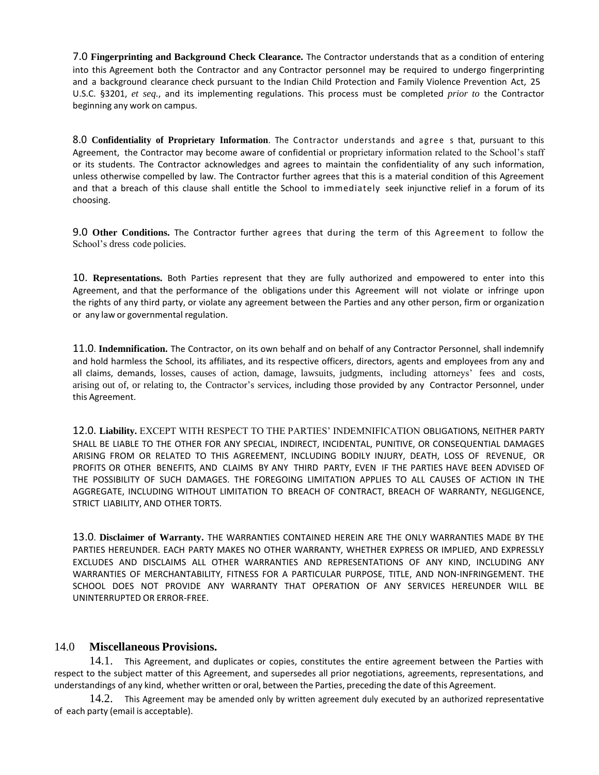7.0 **Fingerprinting and Background Check Clearance.** The Contractor understands that as a condition of entering into this Agreement both the Contractor and any Contractor personnel may be required to undergo fingerprinting and a background clearance check pursuant to the Indian Child Protection and Family Violence Prevention Act, 25 U.S.C. §3201, *et seq.*, and its implementing regulations. This process must be completed *prior to* the Contractor beginning any work on campus.

8.0 **Confidentiality of Proprietary Information**. The Contractor understands and agree s that, pursuant to this Agreement, the Contractor may become aware of confidential or proprietary information related to the School's staff or its students. The Contractor acknowledges and agrees to maintain the confidentiality of any such information, unless otherwise compelled by law. The Contractor further agrees that this is a material condition of this Agreement and that a breach of this clause shall entitle the School to immediately seek injunctive relief in a forum of its choosing.

9.0 **Other Conditions.** The Contractor further agrees that during the term of this Agreement to follow the School's dress code policies.

10. **Representations.** Both Parties represent that they are fully authorized and empowered to enter into this Agreement, and that the performance of the obligations under this Agreement will not violate or infringe upon the rights of any third party, or violate any agreement between the Parties and any other person, firm or organization or any law or governmental regulation.

11.0. **Indemnification.** The Contractor, on its own behalf and on behalf of any Contractor Personnel, shall indemnify and hold harmless the School, its affiliates, and its respective officers, directors, agents and employees from any and all claims, demands, losses, causes of action, damage, lawsuits, judgments, including attorneys' fees and costs, arising out of, or relating to, the Contractor's services, including those provided by any Contractor Personnel, under this Agreement.

12.0. **Liability.** EXCEPT WITH RESPECT TO THE PARTIES' INDEMNIFICATION OBLIGATIONS, NEITHER PARTY SHALL BE LIABLE TO THE OTHER FOR ANY SPECIAL, INDIRECT, INCIDENTAL, PUNITIVE, OR CONSEQUENTIAL DAMAGES ARISING FROM OR RELATED TO THIS AGREEMENT, INCLUDING BODILY INJURY, DEATH, LOSS OF REVENUE, OR PROFITS OR OTHER BENEFITS, AND CLAIMS BY ANY THIRD PARTY, EVEN IF THE PARTIES HAVE BEEN ADVISED OF THE POSSIBILITY OF SUCH DAMAGES. THE FOREGOING LIMITATION APPLIES TO ALL CAUSES OF ACTION IN THE AGGREGATE, INCLUDING WITHOUT LIMITATION TO BREACH OF CONTRACT, BREACH OF WARRANTY, NEGLIGENCE, STRICT LIABILITY, AND OTHER TORTS.

13.0. **Disclaimer of Warranty.** THE WARRANTIES CONTAINED HEREIN ARE THE ONLY WARRANTIES MADE BY THE PARTIES HEREUNDER. EACH PARTY MAKES NO OTHER WARRANTY, WHETHER EXPRESS OR IMPLIED, AND EXPRESSLY EXCLUDES AND DISCLAIMS ALL OTHER WARRANTIES AND REPRESENTATIONS OF ANY KIND, INCLUDING ANY WARRANTIES OF MERCHANTABILITY, FITNESS FOR A PARTICULAR PURPOSE, TITLE, AND NON-INFRINGEMENT. THE SCHOOL DOES NOT PROVIDE ANY WARRANTY THAT OPERATION OF ANY SERVICES HEREUNDER WILL BE UNINTERRUPTED OR ERROR-FREE.

## 14.0 **Miscellaneous Provisions.**

14.1. This Agreement, and duplicates or copies, constitutes the entire agreement between the Parties with respect to the subject matter of this Agreement, and supersedes all prior negotiations, agreements, representations, and understandings of any kind, whether written or oral, between the Parties, preceding the date of this Agreement.

14.2. This Agreement may be amended only by written agreement duly executed by an authorized representative of each party (email is acceptable).